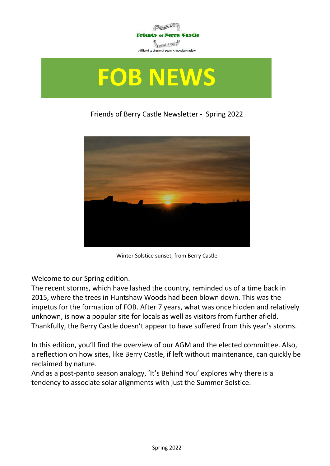

# **FOB NEWS**

#### Friends of Berry Castle Newsletter - Spring 2022



Winter Solstice sunset, from Berry Castle

Welcome to our Spring edition.

The recent storms, which have lashed the country, reminded us of a time back in 2015, where the trees in Huntshaw Woods had been blown down. This was the impetus for the formation of FOB. After 7 years, what was once hidden and relatively unknown, is now a popular site for locals as well as visitors from further afield. Thankfully, the Berry Castle doesn't appear to have suffered from this year's storms.

In this edition, you'll find the overview of our AGM and the elected committee. Also, a reflection on how sites, like Berry Castle, if left without maintenance, can quickly be reclaimed by nature.

And as a post-panto season analogy, 'It's Behind You' explores why there is a tendency to associate solar alignments with just the Summer Solstice.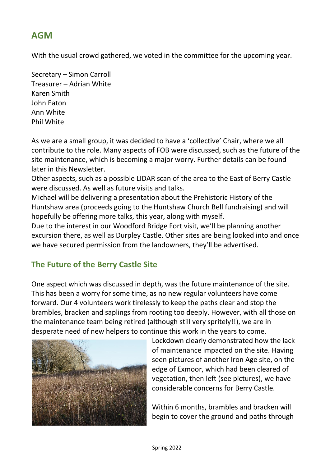## **AGM**

With the usual crowd gathered, we voted in the committee for the upcoming year.

Secretary – Simon Carroll Treasurer – Adrian White Karen Smith John Eaton Ann White Phil White

As we are a small group, it was decided to have a 'collective' Chair, where we all contribute to the role. Many aspects of FOB were discussed, such as the future of the site maintenance, which is becoming a major worry. Further details can be found later in this Newsletter.

Other aspects, such as a possible LIDAR scan of the area to the East of Berry Castle were discussed. As well as future visits and talks.

Michael will be delivering a presentation about the Prehistoric History of the Huntshaw area (proceeds going to the Huntshaw Church Bell fundraising) and will hopefully be offering more talks, this year, along with myself.

Due to the interest in our Woodford Bridge Fort visit, we'll be planning another excursion there, as well as Durpley Castle. Other sites are being looked into and once we have secured permission from the landowners, they'll be advertised.

## **The Future of the Berry Castle Site**

One aspect which was discussed in depth, was the future maintenance of the site. This has been a worry for some time, as no new regular volunteers have come forward. Our 4 volunteers work tirelessly to keep the paths clear and stop the brambles, bracken and saplings from rooting too deeply. However, with all those on the maintenance team being retired (although still very spritely!!), we are in desperate need of new helpers to continue this work in the years to come.



Lockdown clearly demonstrated how the lack of maintenance impacted on the site. Having seen pictures of another Iron Age site, on the edge of Exmoor, which had been cleared of vegetation, then left (see pictures), we have considerable concerns for Berry Castle.

Within 6 months, brambles and bracken will begin to cover the ground and paths through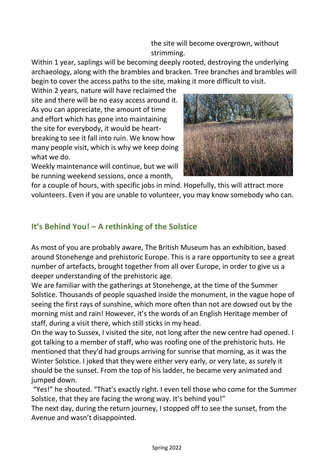the site will become overgrown, without strimming.

Within 1 year, saplings will be becoming deeply rooted, destroying the underlying archaeology, along with the brambles and bracken. Tree branches and brambles will begin to cover the access paths to the site, making it more difficult to visit.

Within 2 years, nature will have reclaimed the site and there will be no easy access around it. As you can appreciate, the amount of time and effort which has gone into maintaining the site for everybody, it would be heartbreaking to see it fall into ruin. We know how many people visit, which is why we keep doing what we do.



Weekly maintenance will continue, but we will be running weekend sessions, once a month,

for a couple of hours, with specific jobs in mind. Hopefully, this will attract more volunteers. Even if you are unable to volunteer, you may know somebody who can.

### **It's Behind You! – A rethinking of the Solstice**

As most of you are probably aware, The British Museum has an exhibition, based around Stonehenge and prehistoric Europe. This is a rare opportunity to see a great number of artefacts, brought together from all over Europe, in order to give us a deeper understanding of the prehistoric age.

We are familiar with the gatherings at Stonehenge, at the time of the Summer Solstice. Thousands of people squashed inside the monument, in the vague hope of seeing the first rays of sunshine, which more often than not are dowsed out by the morning mist and rain! However, it's the words of an English Heritage member of staff, during a visit there, which still sticks in my head.

On the way to Sussex, I visited the site, not long after the new centre had opened. I got talking to a member of staff, who was roofing one of the prehistoric huts. He mentioned that they'd had groups arriving for sunrise that morning, as it was the Winter Solstice. I joked that they were either very early, or very late, as surely it should be the sunset. From the top of his ladder, he became very animated and jumped down.

"Yes!" he shouted. "That's exactly right. I even tell those who come for the Summer Solstice, that they are facing the wrong way. It's behind you!"

The next day, during the return journey, I stopped off to see the sunset, from the Avenue and wasn't disappointed.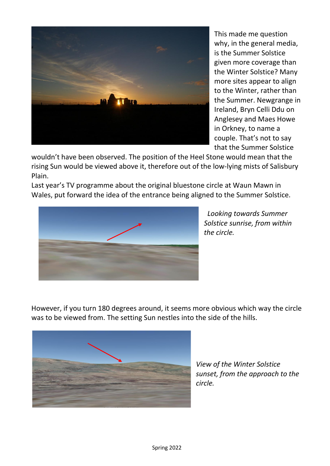

This made me question why, in the general media, is the Summer Solstice given more coverage than the Winter Solstice? Many more sites appear to align to the Winter, rather than the Summer. Newgrange in Ireland, Bryn Celli Ddu on Anglesey and Maes Howe in Orkney, to name a couple. That's not to say that the Summer Solstice

wouldn't have been observed. The position of the Heel Stone would mean that the rising Sun would be viewed above it, therefore out of the low-lying mists of Salisbury Plain.

Last year's TV programme about the original bluestone circle at Waun Mawn in Wales, put forward the idea of the entrance being aligned to the Summer Solstice.



 *Looking towards Summer Solstice sunrise, from within the circle.*

However, if you turn 180 degrees around, it seems more obvious which way the circle was to be viewed from. The setting Sun nestles into the side of the hills.



*View of the Winter Solstice sunset, from the approach to the circle.*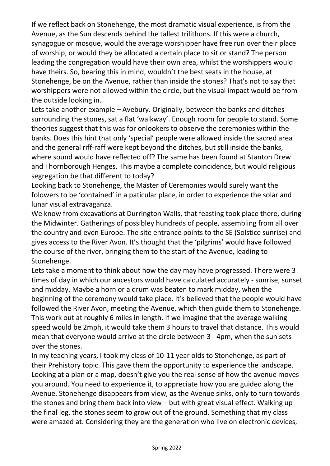If we reflect back on Stonehenge, the most dramatic visual experience, is from the Avenue, as the Sun descends behind the tallest trilithons. If this were a church, synagogue or mosque, would the average worshipper have free run over their place of worship, or would they be allocated a certain place to sit or stand? The person leading the congregation would have their own area, whilst the worshippers would have theirs. So, bearing this in mind, wouldn't the best seats in the house, at Stonehenge, be on the Avenue, rather than inside the stones? That's not to say that worshippers were not allowed within the circle, but the visual impact would be from the outside looking in.

Lets take another example – Avebury. Originally, between the banks and ditches surrounding the stones, sat a flat 'walkway'. Enough room for people to stand. Some theories suggest that this was for onlookers to observe the ceremonies within the banks. Does this hint that only 'special' people were allowed inside the sacred area and the general riff-raff were kept beyond the ditches, but still inside the banks, where sound would have reflected off? The same has been found at Stanton Drew and Thornborough Henges. This maybe a complete coincidence, but would religious segregation be that different to today?

Looking back to Stonehenge, the Master of Ceremonies would surely want the folowers to be 'contained' in a paticular place, in order to experience the solar and lunar visual extravaganza.

We know from excavations at Durrington Walls, that feasting took place there, during the Midwinter. Gatherings of possibley hundreds of people, assembling from all over the country and even Europe. The site entrance points to the SE (Solstice sunrise) and gives access to the River Avon. It's thought that the 'pilgrims' would have followed the course of the river, bringing them to the start of the Avenue, leading to Stonehenge.

Lets take a moment to think about how the day may have progressed. There were 3 times of day in which our ancestors would have calculated accurately - sunrise, sunset and midday. Maybe a horn or a drum was beaten to mark midday, when the beginning of the ceremony would take place. It's believed that the people would have followed the River Avon, meeting the Avenue, which then guide them to Stonehenge. This work out at roughly 6 miles in length. If we imagine that the average walking speed would be 2mph, it would take them 3 hours to travel that distance. This would mean that everyone would arrive at the circle between 3 - 4pm, when the sun sets over the stones.

In my teaching years, I took my class of 10-11 year olds to Stonehenge, as part of their Prehistory topic. This gave them the opportunity to experience the landscape. Looking at a plan or a map, doesn't give you the real sense of how the avenue moves you around. You need to experience it, to appreciate how you are guided along the Avenue. Stonehenge disappears from view, as the Avenue sinks, only to turn towards the stones and bring them back into view – but with great visual effect. Walking up the final leg, the stones seem to grow out of the ground. Something that my class were amazed at. Considering they are the generation who live on electronic devices,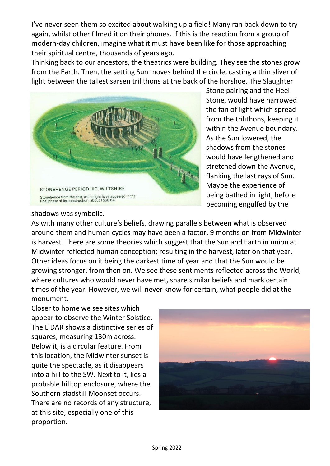I've never seen them so excited about walking up a field! Many ran back down to try again, whilst other filmed it on their phones. If this is the reaction from a group of modern-day children, imagine what it must have been like for those approaching their spiritual centre, thousands of years ago.

Thinking back to our ancestors, the theatrics were building. They see the stones grow from the Earth. Then, the setting Sun moves behind the circle, casting a thin sliver of light between the tallest sarsen trilithons at the back of the horshoe. The Slaughter



Stone pairing and the Heel Stone, would have narrowed the fan of light which spread from the trilithons, keeping it within the Avenue boundary. As the Sun lowered, the shadows from the stones would have lengthened and stretched down the Avenue, flanking the last rays of Sun. Maybe the experience of being bathed in light, before becoming engulfed by the

#### shadows was symbolic.

As with many other culture's beliefs, drawing parallels between what is observed around them and human cycles may have been a factor. 9 months on from Midwinter is harvest. There are some theories which suggest that the Sun and Earth in union at Midwinter reflected human conception; resulting in the harvest, later on that year. Other ideas focus on it being the darkest time of year and that the Sun would be growing stronger, from then on. We see these sentiments reflected across the World, where cultures who would never have met, share similar beliefs and mark certain times of the year. However, we will never know for certain, what people did at the monument.

Closer to home we see sites which appear to observe the Winter Solstice. The LIDAR shows a distinctive series of squares, measuring 130m across. Below it, is a circular feature. From this location, the Midwinter sunset is quite the spectacle, as it disappears into a hill to the SW. Next to it, lies a probable hilltop enclosure, where the Southern stadstill Moonset occurs. There are no records of any structure, at this site, especially one of this proportion.

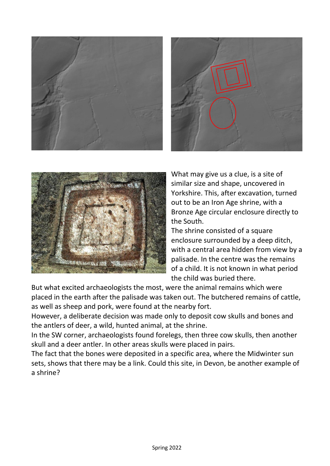





What may give us a clue, is a site of similar size and shape, uncovered in Yorkshire. This, after excavation, turned out to be an Iron Age shrine, with a Bronze Age circular enclosure directly to the South.

The shrine consisted of a square enclosure surrounded by a deep ditch, with a central area hidden from view by a palisade. In the centre was the remains of a child. It is not known in what period the child was buried there.

But what excited archaeologists the most, were the animal remains which were placed in the earth after the palisade was taken out. The butchered remains of cattle, as well as sheep and pork, were found at the nearby fort.

However, a deliberate decision was made only to deposit cow skulls and bones and the antlers of deer, a wild, hunted animal, at the shrine.

In the SW corner, archaeologists found forelegs, then three cow skulls, then another skull and a deer antler. In other areas skulls were placed in pairs.

The fact that the bones were deposited in a specific area, where the Midwinter sun sets, shows that there may be a link. Could this site, in Devon, be another example of a shrine?